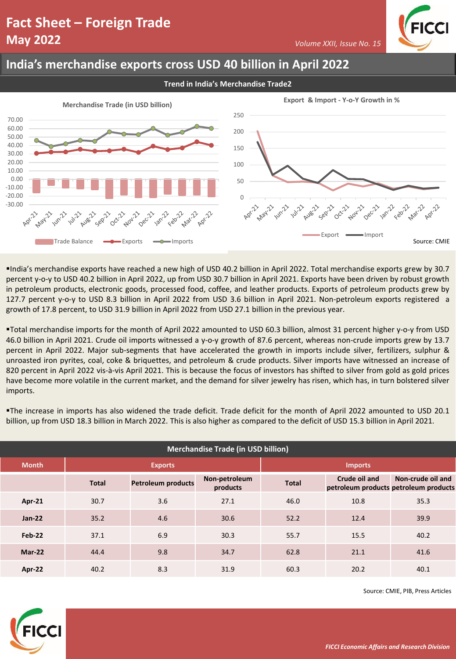*Volume XXII, Issue No. 15*

### **India's merchandise exports cross USD 40 billion in April 2022**

**Trend in India's Merchandise Trade2**



▪India's merchandise exports have reached a new high of USD 40.2 billion in April 2022. Total merchandise exports grew by 30.7 percent y-o-y to USD 40.2 billion in April 2022, up from USD 30.7 billion in April 2021. Exports have been driven by robust growth in petroleum products, electronic goods, processed food, coffee, and leather products. Exports of petroleum products grew by 127.7 percent y-o-y to USD 8.3 billion in April 2022 from USD 3.6 billion in April 2021. Non-petroleum exports registered a growth of 17.8 percent, to USD 31.9 billion in April 2022 from USD 27.1 billion in the previous year.

▪Total merchandise imports for the month of April 2022 amounted to USD 60.3 billion, almost 31 percent higher y-o-y from USD 46.0 billion in April 2021. Crude oil imports witnessed a y-o-y growth of 87.6 percent, whereas non-crude imports grew by 13.7 percent in April 2022. Major sub-segments that have accelerated the growth in imports include silver, fertilizers, sulphur & unroasted iron pyrites, coal, coke & briquettes, and petroleum & crude products. Silver imports have witnessed an increase of 820 percent in April 2022 vis-à-vis April 2021. This is because the focus of investors has shifted to silver from gold as gold prices have become more volatile in the current market, and the demand for silver jewelry has risen, which has, in turn bolstered silver imports.

▪The increase in imports has also widened the trade deficit. Trade deficit for the month of April 2022 amounted to USD 20.1 billion, up from USD 18.3 billion in March 2022. This is also higher as compared to the deficit of USD 15.3 billion in April 2021.

| <b>Merchandise Trade (in USD billion)</b> |                |                           |                           |                |                                                        |                   |  |
|-------------------------------------------|----------------|---------------------------|---------------------------|----------------|--------------------------------------------------------|-------------------|--|
| <b>Month</b>                              | <b>Exports</b> |                           |                           | <b>Imports</b> |                                                        |                   |  |
|                                           | <b>Total</b>   | <b>Petroleum products</b> | Non-petroleum<br>products | <b>Total</b>   | Crude oil and<br>petroleum products petroleum products | Non-crude oil and |  |
| Apr-21                                    | 30.7           | 3.6                       | 27.1                      | 46.0           | 10.8                                                   | 35.3              |  |
| $Jan-22$                                  | 35.2           | 4.6                       | 30.6                      | 52.2           | 12.4                                                   | 39.9              |  |
| Feb-22                                    | 37.1           | 6.9                       | 30.3                      | 55.7           | 15.5                                                   | 40.2              |  |
| <b>Mar-22</b>                             | 44.4           | 9.8                       | 34.7                      | 62.8           | 21.1                                                   | 41.6              |  |
| Apr-22                                    | 40.2           | 8.3                       | 31.9                      | 60.3           | 20.2                                                   | 40.1              |  |

Source: CMIE, PIB, Press Articles

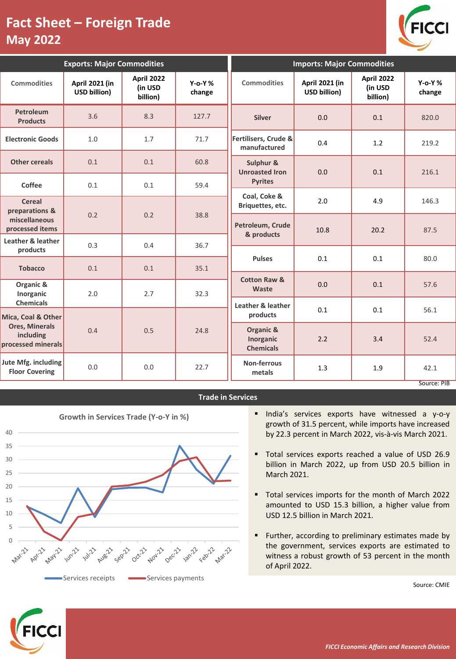

| <b>Exports: Major Commodities</b>                        |                                |                                          |                        | <b>Imports: Major Commodities</b>          |                                |                                          |                        |
|----------------------------------------------------------|--------------------------------|------------------------------------------|------------------------|--------------------------------------------|--------------------------------|------------------------------------------|------------------------|
| <b>Commodities</b>                                       | April 2021 (in<br>USD billion) | <b>April 2022</b><br>(in USD<br>billion) | $Y$ -o-Y $%$<br>change | <b>Commodities</b>                         | April 2021 (in<br>USD billion) | <b>April 2022</b><br>(in USD<br>billion) | $Y$ -o-Y $%$<br>change |
| Petroleum<br><b>Products</b>                             | 3.6                            | 8.3                                      | 127.7                  | <b>Silver</b>                              | 0.0                            | 0.1                                      | 820.0                  |
| <b>Electronic Goods</b>                                  | 1.0                            | 1.7                                      | 71.7                   | Fertilisers, Crude &<br>manufactured       | 0.4                            | 1.2                                      | 219.2                  |
| <b>Other cereals</b>                                     | 0.1                            | 0.1                                      | 60.8                   | Sulphur &<br><b>Unroasted Iron</b>         | 0.0                            | 0.1                                      | 216.1                  |
| Coffee                                                   | 0.1                            | 0.1                                      | 59.4                   | <b>Pyrites</b>                             |                                |                                          |                        |
| <b>Cereal</b><br>preparations &                          |                                |                                          |                        | Coal, Coke &<br>Briquettes, etc.           | 2.0                            | 4.9                                      | 146.3                  |
| miscellaneous<br>processed items                         | 0.2                            | 0.2                                      | 38.8                   | Petroleum, Crude<br>& products             | 10.8                           | 20.2                                     | 87.5                   |
| Leather & leather<br>products                            | 0.3                            | 0.4                                      | 36.7                   |                                            |                                |                                          |                        |
| <b>Tobacco</b>                                           | 0.1                            | 0.1                                      | 35.1                   | <b>Pulses</b>                              | 0.1                            | 0.1                                      | 80.0                   |
| Organic &<br>Inorganic                                   | 2.0                            | 2.7                                      | 32.3                   | <b>Cotton Raw &amp;</b><br>Waste           | 0.0                            | 0.1                                      | 57.6                   |
| <b>Chemicals</b><br>Mica, Coal & Other                   |                                |                                          |                        | Leather & leather<br>products              | 0.1                            | 0.1                                      | 56.1                   |
| <b>Ores, Minerals</b><br>including<br>processed minerals | 0.4                            | 0.5                                      | 24.8                   | Organic &<br>Inorganic<br><b>Chemicals</b> | 2.2                            | 3.4                                      | 52.4                   |
| Jute Mfg. including<br><b>Floor Covering</b>             | 0.0                            | 0.0                                      | 22.7                   | Non-ferrous<br>metals                      | 1.3                            | 1.9                                      | 42.1<br>Source: PIB    |

### **Trade in Services**



- **·** India's services exports have witnessed a y-o-y growth of 31.5 percent, while imports have increased by 22.3 percent in March 2022, vis-à-vis March 2021.
- Total services exports reached a value of USD 26.9 billion in March 2022, up from USD 20.5 billion in March 2021.
- Total services imports for the month of March 2022 amounted to USD 15.3 billion, a higher value from USD 12.5 billion in March 2021.
- Further, according to preliminary estimates made by the government, services exports are estimated to witness a robust growth of 53 percent in the month of April 2022.

Source: CMIE

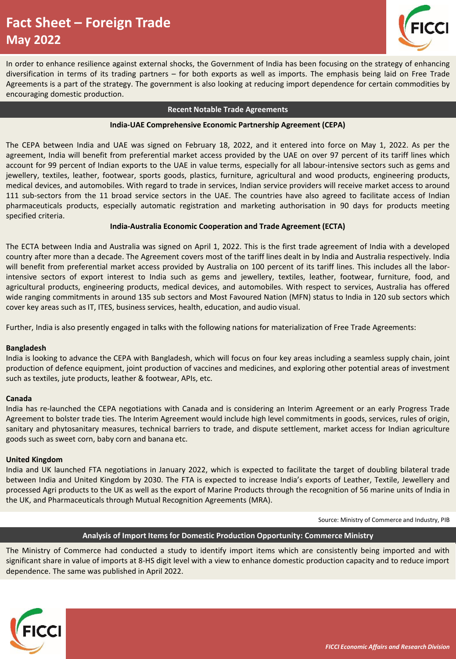

In order to enhance resilience against external shocks, the Government of India has been focusing on the strategy of enhancing diversification in terms of its trading partners – for both exports as well as imports. The emphasis being laid on Free Trade Agreements is a part of the strategy. The government is also looking at reducing import dependence for certain commodities by encouraging domestic production.

#### **Recent Notable Trade Agreements**

#### **India-UAE Comprehensive Economic Partnership Agreement (CEPA)**

The CEPA between India and UAE was signed on February 18, 2022, and it entered into force on May 1, 2022. As per the agreement, India will benefit from preferential market access provided by the UAE on over 97 percent of its tariff lines which account for 99 percent of Indian exports to the UAE in value terms, especially for all labour-intensive sectors such as gems and jewellery, textiles, leather, footwear, sports goods, plastics, furniture, agricultural and wood products, engineering products, medical devices, and automobiles. With regard to trade in services, Indian service providers will receive market access to around 111 sub-sectors from the 11 broad service sectors in the UAE. The countries have also agreed to facilitate access of Indian pharmaceuticals products, especially automatic registration and marketing authorisation in 90 days for products meeting specified criteria.

#### **India-Australia Economic Cooperation and Trade Agreement (ECTA)**

The ECTA between India and Australia was signed on April 1, 2022. This is the first trade agreement of India with a developed country after more than a decade. The Agreement covers most of the tariff lines dealt in by India and Australia respectively. India will benefit from preferential market access provided by Australia on 100 percent of its tariff lines. This includes all the laborintensive sectors of export interest to India such as gems and jewellery, textiles, leather, footwear, furniture, food, and agricultural products, engineering products, medical devices, and automobiles. With respect to services, Australia has offered wide ranging commitments in around 135 sub sectors and Most Favoured Nation (MFN) status to India in 120 sub sectors which cover key areas such as IT, ITES, business services, health, education, and audio visual.

Further, India is also presently engaged in talks with the following nations for materialization of Free Trade Agreements:

#### **Bangladesh**

India is looking to advance the CEPA with Bangladesh, which will focus on four key areas including a seamless supply chain, joint production of defence equipment, joint production of vaccines and medicines, and exploring other potential areas of investment such as textiles, jute products, leather & footwear, APIs, etc.

#### **Canada**

India has re-launched the CEPA negotiations with Canada and is considering an Interim Agreement or an early Progress Trade Agreement to bolster trade ties. The Interim Agreement would include high level commitments in goods, services, rules of origin, sanitary and phytosanitary measures, technical barriers to trade, and dispute settlement, market access for Indian agriculture goods such as sweet corn, baby corn and banana etc.

#### **United Kingdom**

India and UK launched FTA negotiations in January 2022, which is expected to facilitate the target of doubling bilateral trade between India and United Kingdom by 2030. The FTA is expected to increase India's exports of Leather, Textile, Jewellery and processed Agri products to the UK as well as the export of Marine Products through the recognition of 56 marine units of India in the UK, and Pharmaceuticals through Mutual Recognition Agreements (MRA).

Source: Ministry of Commerce and Industry, PIB

#### **Analysis of Import Items for Domestic Production Opportunity: Commerce Ministry**

The Ministry of Commerce had conducted a study to identify import items which are consistently being imported and with significant share in value of imports at 8-HS digit level with a view to enhance domestic production capacity and to reduce import dependence. The same was published in April 2022.